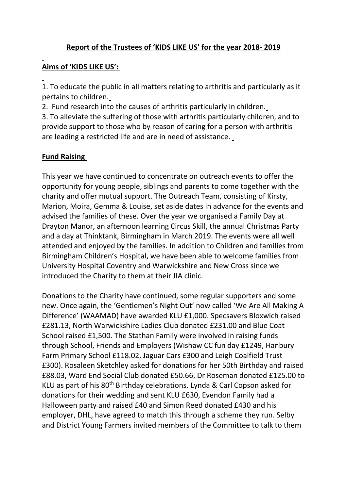## **Report of the Trustees of 'KIDS LIKE US' for the year 2018- 2019**

## **Aims of 'KIDS LIKE US':**

1. To educate the public in all matters relating to arthritis and particularly as it pertains to children.

2. Fund research into the causes of arthritis particularly in children.

3. To alleviate the suffering of those with arthritis particularly children, and to provide support to those who by reason of caring for a person with arthritis are leading a restricted life and are in need of assistance.

# **Fund Raising**

This year we have continued to concentrate on outreach events to offer the opportunity for young people, siblings and parents to come together with the charity and offer mutual support. The Outreach Team, consisting of Kirsty, Marion, Moira, Gemma & Louise, set aside dates in advance for the events and advised the families of these. Over the year we organised a Family Day at Drayton Manor, an afternoon learning Circus Skill, the annual Christmas Party and a day at Thinktank, Birmingham in March 2019. The events were all well attended and enjoyed by the families. In addition to Children and families from Birmingham Children's Hospital, we have been able to welcome families from University Hospital Coventry and Warwickshire and New Cross since we introduced the Charity to them at their JIA clinic.

Donations to the Charity have continued, some regular supporters and some new. Once again, the 'Gentlemen's Night Out' now called 'We Are All Making A Difference' (WAAMAD) have awarded KLU £1,000. Specsavers Bloxwich raised £281.13, North Warwickshire Ladies Club donated £231.00 and Blue Coat School raised £1,500. The Stathan Family were involved in raising funds through School, Friends and Employers (Wishaw CC fun day £1249, Hanbury Farm Primary School £118.02, Jaguar Cars £300 and Leigh Coalfield Trust £300). Rosaleen Sketchley asked for donations for her 50th Birthday and raised £88.03, Ward End Social Club donated £50.66, Dr Roseman donated £125.00 to KLU as part of his 80th Birthday celebrations. Lynda & Carl Copson asked for donations for their wedding and sent KLU £630, Evendon Family had a Halloween party and raised £40 and Simon Reed donated £430 and his employer, DHL, have agreed to match this through a scheme they run. Selby and District Young Farmers invited members of the Committee to talk to them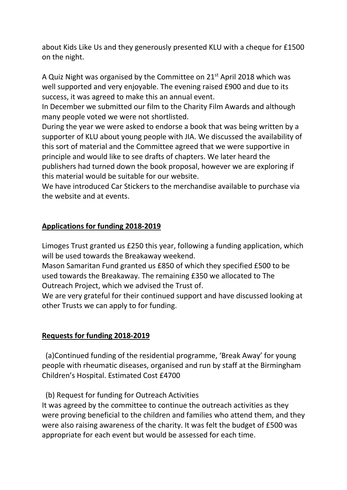about Kids Like Us and they generously presented KLU with a cheque for £1500 on the night.

A Quiz Night was organised by the Committee on 21st April 2018 which was well supported and very enjoyable. The evening raised £900 and due to its success, it was agreed to make this an annual event.

In December we submitted our film to the Charity Film Awards and although many people voted we were not shortlisted.

During the year we were asked to endorse a book that was being written by a supporter of KLU about young people with JIA. We discussed the availability of this sort of material and the Committee agreed that we were supportive in principle and would like to see drafts of chapters. We later heard the publishers had turned down the book proposal, however we are exploring if this material would be suitable for our website.

We have introduced Car Stickers to the merchandise available to purchase via the website and at events.

# **Applications for funding 2018-2019**

Limoges Trust granted us £250 this year, following a funding application, which will be used towards the Breakaway weekend.

Mason Samaritan Fund granted us £850 of which they specified £500 to be used towards the Breakaway. The remaining £350 we allocated to The Outreach Project, which we advised the Trust of.

We are very grateful for their continued support and have discussed looking at other Trusts we can apply to for funding.

## **Requests for funding 2018-2019**

 (a)Continued funding of the residential programme, 'Break Away' for young people with rheumatic diseases, organised and run by staff at the Birmingham Children's Hospital. Estimated Cost £4700

(b) Request for funding for Outreach Activities

It was agreed by the committee to continue the outreach activities as they were proving beneficial to the children and families who attend them, and they were also raising awareness of the charity. It was felt the budget of £500 was appropriate for each event but would be assessed for each time.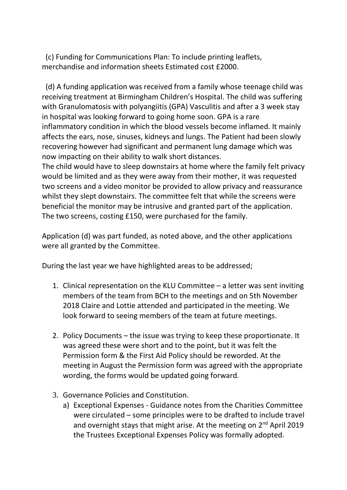(c) Funding for Communications Plan: To include printing leaflets, merchandise and information sheets Estimated cost £2000.

 (d) A funding application was received from a family whose teenage child was receiving treatment at Birmingham Children's Hospital. The child was suffering with Granulomatosis with polyangiitis (GPA) Vasculitis and after a 3 week stay in hospital was looking forward to going home soon. GPA is a rare inflammatory condition in which the blood vessels become inflamed. It mainly affects the ears, nose, sinuses, kidneys and lungs. The Patient had been slowly recovering however had significant and permanent lung damage which was now impacting on their ability to walk short distances.

The child would have to sleep downstairs at home where the family felt privacy would be limited and as they were away from their mother, it was requested two screens and a video monitor be provided to allow privacy and reassurance whilst they slept downstairs. The committee felt that while the screens were beneficial the monitor may be intrusive and granted part of the application. The two screens, costing £150, were purchased for the family.

Application (d) was part funded, as noted above, and the other applications were all granted by the Committee.

During the last year we have highlighted areas to be addressed;

- 1. Clinical representation on the KLU Committee a letter was sent inviting members of the team from BCH to the meetings and on 5th November 2018 Claire and Lottie attended and participated in the meeting. We look forward to seeing members of the team at future meetings.
- 2. Policy Documents the issue was trying to keep these proportionate. It was agreed these were short and to the point, but it was felt the Permission form & the First Aid Policy should be reworded. At the meeting in August the Permission form was agreed with the appropriate wording, the forms would be updated going forward.
- 3. Governance Policies and Constitution.
	- a) Exceptional Expenses Guidance notes from the Charities Committee were circulated – some principles were to be drafted to include travel and overnight stays that might arise. At the meeting on 2<sup>nd</sup> April 2019 the Trustees Exceptional Expenses Policy was formally adopted.